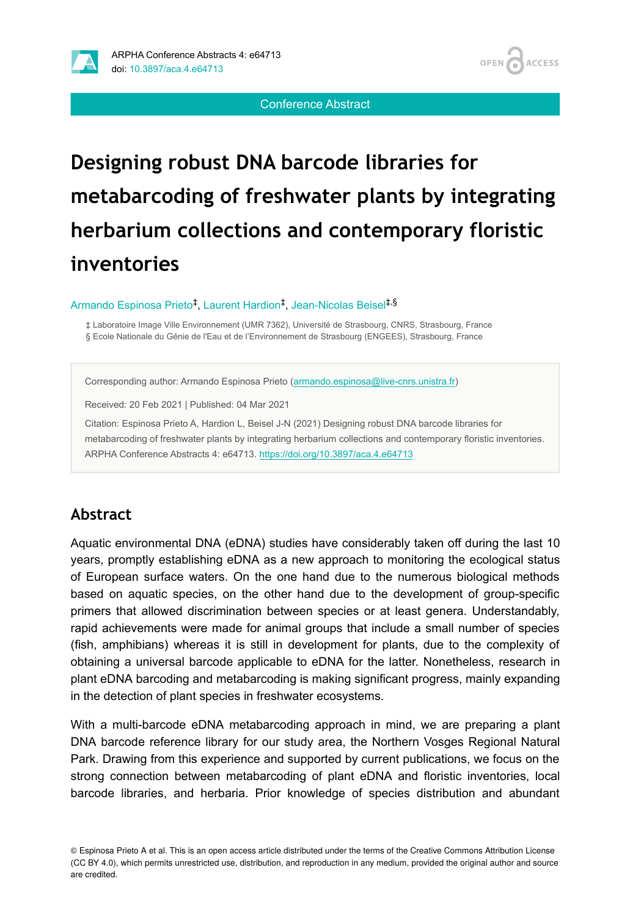

**OPEN ACCESS** 

Conference Abstract

# **Designing robust DNA barcode libraries for metabarcoding of freshwater plants by integrating herbarium collections and contemporary floristic inventories**

Armando Espinosa Prieto<sup>‡</sup>, Laurent Hardion<sup>‡</sup>, Jean-Nicolas Beisel<sup>‡,§</sup>

‡ Laboratoire Image Ville Environnement (UMR 7362), Université de Strasbourg, CNRS, Strasbourg, France § Ecole Nationale du Génie de l'Eau et de l'Environnement de Strasbourg (ENGEES), Strasbourg, France

Corresponding author: Armando Espinosa Prieto ([armando.espinosa@live-cnrs.unistra.fr\)](mailto:armando.espinosa@live-cnrs.unistra.fr)

Received: 20 Feb 2021 | Published: 04 Mar 2021

Citation: Espinosa Prieto A, Hardion L, Beisel J-N (2021) Designing robust DNA barcode libraries for metabarcoding of freshwater plants by integrating herbarium collections and contemporary floristic inventories. ARPHA Conference Abstracts 4: e64713. <https://doi.org/10.3897/aca.4.e64713>

## **Abstract**

Aquatic environmental DNA (eDNA) studies have considerably taken off during the last 10 years, promptly establishing eDNA as a new approach to monitoring the ecological status of European surface waters. On the one hand due to the numerous biological methods based on aquatic species, on the other hand due to the development of group-specific primers that allowed discrimination between species or at least genera. Understandably, rapid achievements were made for animal groups that include a small number of species (fish, amphibians) whereas it is still in development for plants, due to the complexity of obtaining a universal barcode applicable to eDNA for the latter. Nonetheless, research in plant eDNA barcoding and metabarcoding is making significant progress, mainly expanding in the detection of plant species in freshwater ecosystems.

With a multi-barcode eDNA metabarcoding approach in mind, we are preparing a plant DNA barcode reference library for our study area, the Northern Vosges Regional Natural Park. Drawing from this experience and supported by current publications, we focus on the strong connection between metabarcoding of plant eDNA and floristic inventories, local barcode libraries, and herbaria. Prior knowledge of species distribution and abundant

© Espinosa Prieto A et al. This is an open access article distributed under the terms of the Creative Commons Attribution License (CC BY 4.0), which permits unrestricted use, distribution, and reproduction in any medium, provided the original author and source are credited.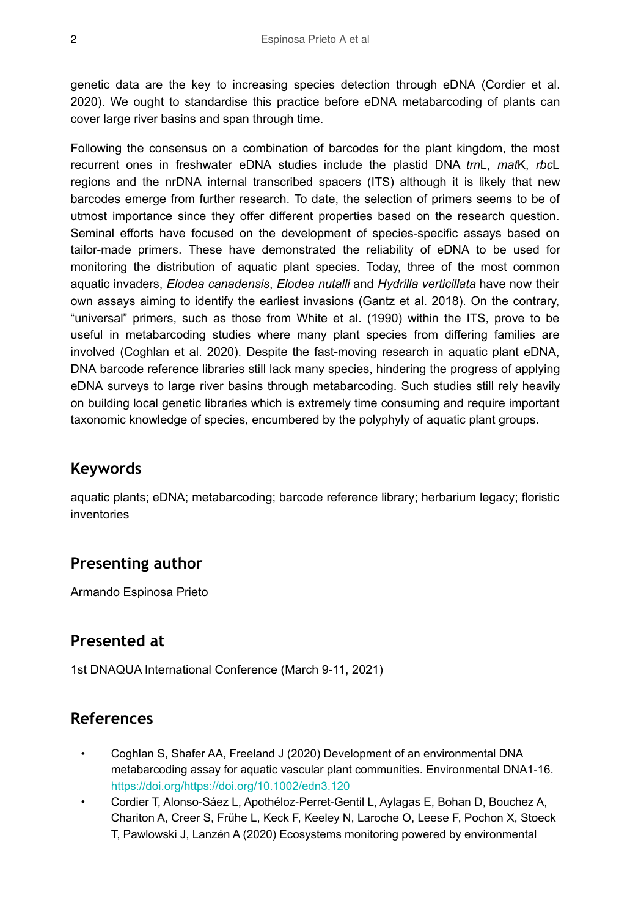genetic data are the key to increasing species detection through eDNA (Cordier et al. 2020). We ought to standardise this practice before eDNA metabarcoding of plants can cover large river basins and span through time.

Following the consensus on a combination of barcodes for the plant kingdom, the most recurrent ones in freshwater eDNA studies include the plastid DNA *trn*L, *mat*K, *rbc*L regions and the nrDNA internal transcribed spacers (ITS) although it is likely that new barcodes emerge from further research. To date, the selection of primers seems to be of utmost importance since they offer different properties based on the research question. Seminal efforts have focused on the development of species-specific assays based on tailor-made primers. These have demonstrated the reliability of eDNA to be used for monitoring the distribution of aquatic plant species. Today, three of the most common aquatic invaders, *Elodea canadensis*, *Elodea nutalli* and *Hydrilla verticillata* have now their own assays aiming to identify the earliest invasions (Gantz et al. 2018). On the contrary, "universal" primers, such as those from White et al. (1990) within the ITS, prove to be useful in metabarcoding studies where many plant species from differing families are involved (Coghlan et al. 2020). Despite the fast-moving research in aquatic plant eDNA, DNA barcode reference libraries still lack many species, hindering the progress of applying eDNA surveys to large river basins through metabarcoding. Such studies still rely heavily on building local genetic libraries which is extremely time consuming and require important taxonomic knowledge of species, encumbered by the polyphyly of aquatic plant groups.

### **Keywords**

aquatic plants; eDNA; metabarcoding; barcode reference library; herbarium legacy; floristic inventories

## **Presenting author**

Armando Espinosa Prieto

## **Presented at**

1st DNAQUA International Conference (March 9-11, 2021)

## **References**

- Coghlan S, Shafer AA, Freeland J (2020) Development of an environmental DNA metabarcoding assay for aquatic vascular plant communities. Environmental DNA1-16. <https://doi.org/https://doi.org/10.1002/edn3.120>
- Cordier T, Alonso‐Sáez L, Apothéloz‐Perret‐Gentil L, Aylagas E, Bohan D, Bouchez A, Chariton A, Creer S, Frühe L, Keck F, Keeley N, Laroche O, Leese F, Pochon X, Stoeck T, Pawlowski J, Lanzén A (2020) Ecosystems monitoring powered by environmental